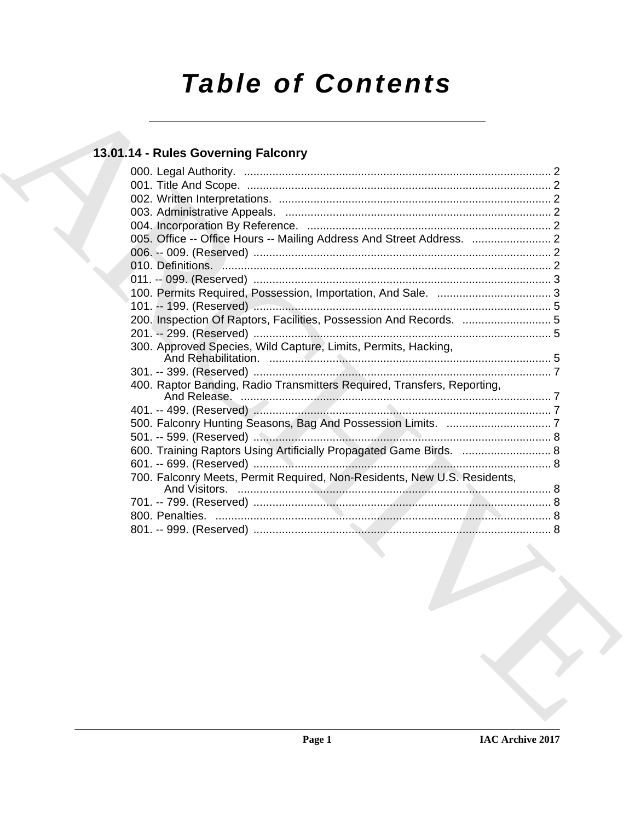# **Table of Contents**

### 13.01.14 - Rules Governing Falconry

| 005. Office -- Office Hours -- Mailing Address And Street Address.  2    |  |
|--------------------------------------------------------------------------|--|
|                                                                          |  |
|                                                                          |  |
|                                                                          |  |
|                                                                          |  |
|                                                                          |  |
| 200. Inspection Of Raptors, Facilities, Possession And Records. 5        |  |
|                                                                          |  |
| 300. Approved Species, Wild Capture, Limits, Permits, Hacking,           |  |
|                                                                          |  |
| 400. Raptor Banding, Radio Transmitters Required, Transfers, Reporting,  |  |
|                                                                          |  |
|                                                                          |  |
|                                                                          |  |
| 600. Training Raptors Using Artificially Propagated Game Birds.  8       |  |
|                                                                          |  |
| 700. Falconry Meets, Permit Required, Non-Residents, New U.S. Residents, |  |
|                                                                          |  |
|                                                                          |  |
|                                                                          |  |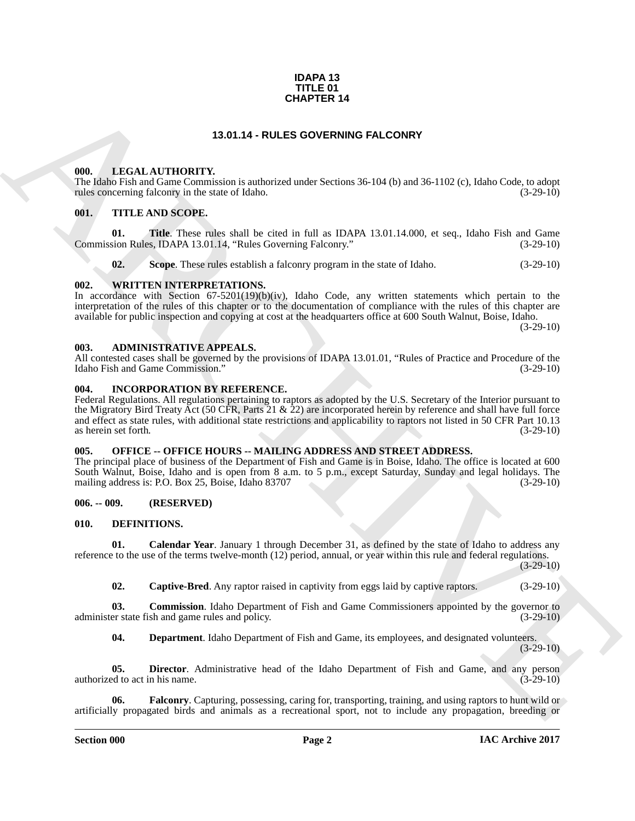#### **IDAPA 13 TITLE 01 CHAPTER 14**

#### **13.01.14 - RULES GOVERNING FALCONRY**

#### <span id="page-1-1"></span><span id="page-1-0"></span>**000. LEGAL AUTHORITY.**

The Idaho Fish and Game Commission is authorized under Sections 36-104 (b) and 36-1102 (c), Idaho Code, to adopt rules concerning falconry in the state of Idaho. (3-29-10) rules concerning falconry in the state of Idaho.

#### <span id="page-1-2"></span>**001. TITLE AND SCOPE.**

**01.** Title. These rules shall be cited in full as IDAPA 13.01.14.000, et seq., Idaho Fish and Game sion Rules. IDAPA 13.01.14. "Rules Governing Falconry." (3-29-10) Commission Rules, IDAPA 13.01.14, "Rules Governing Falconry."

**02.** Scope. These rules establish a falconry program in the state of Idaho. (3-29-10)

#### <span id="page-1-3"></span>**002. WRITTEN INTERPRETATIONS.**

In accordance with Section 67-5201(19)(b)(iv), Idaho Code, any written statements which pertain to the interpretation of the rules of this chapter or to the documentation of compliance with the rules of this chapter are available for public inspection and copying at cost at the headquarters office at 600 South Walnut, Boise, Idaho.

 $(3-29-10)$ 

#### <span id="page-1-4"></span>**003. ADMINISTRATIVE APPEALS.**

All contested cases shall be governed by the provisions of IDAPA 13.01.01, "Rules of Practice and Procedure of the Idaho Fish and Game Commission." (3-29-10)

#### <span id="page-1-5"></span>**004. INCORPORATION BY REFERENCE.**

**CHAPTER 14**<br>
13.01.14 - RULES OF VERNING PALCONRY<br>
(ID. 16.61. ATTHORITY, the ULES OF VERNING PALCONRY<br>
11. SUGGENERATION TRANSPORTS (AND A STRICT OF STRICT OF STRICT OF STRICT OF STRICT OF STRICT OF STRICT OF STRICT OF Federal Regulations. All regulations pertaining to raptors as adopted by the U.S. Secretary of the Interior pursuant to the Migratory Bird Treaty Act (50 CFR, Parts 21 & 22) are incorporated herein by reference and shall have full force and effect as state rules, with additional state restrictions and applicability to raptors not listed in 50 CFR Part 10.13 as herein set forth*.* (3-29-10)

#### <span id="page-1-6"></span>**005. OFFICE -- OFFICE HOURS -- MAILING ADDRESS AND STREET ADDRESS.**

The principal place of business of the Department of Fish and Game is in Boise, Idaho. The office is located at 600 South Walnut, Boise, Idaho and is open from 8 a.m. to 5 p.m., except Saturday, Sunday and legal holidays. The mailing address is: P.O. Box 25, Boise, Idaho 83707 mailing address is: P.O. Box 25, Boise, Idaho 83707

#### <span id="page-1-7"></span>**006. -- 009. (RESERVED)**

#### <span id="page-1-9"></span><span id="page-1-8"></span>**010. DEFINITIONS.**

**01. Calendar Year**. January 1 through December 31, as defined by the state of Idaho to address any reference to the use of the terms twelve-month (12) period, annual, or year within this rule and federal regulations.

(3-29-10)

<span id="page-1-12"></span><span id="page-1-11"></span><span id="page-1-10"></span>**02. Captive-Bred**. Any raptor raised in captivity from eggs laid by captive raptors. (3-29-10)

**03. Commission**. Idaho Department of Fish and Game Commissioners appointed by the governor to er state fish and game rules and policy.  $(3-29-10)$ administer state fish and game rules and policy.

<span id="page-1-15"></span><span id="page-1-14"></span><span id="page-1-13"></span>**04. Department**. Idaho Department of Fish and Game, its employees, and designated volunteers.

 $(3-29-10)$ 

**05. Director**. Administrative head of the Idaho Department of Fish and Game, and any person ed to act in his name. (3-29-10) authorized to act in his name.

**06. Falconry**. Capturing, possessing, caring for, transporting, training, and using raptors to hunt wild or artificially propagated birds and animals as a recreational sport, not to include any propagation, breeding or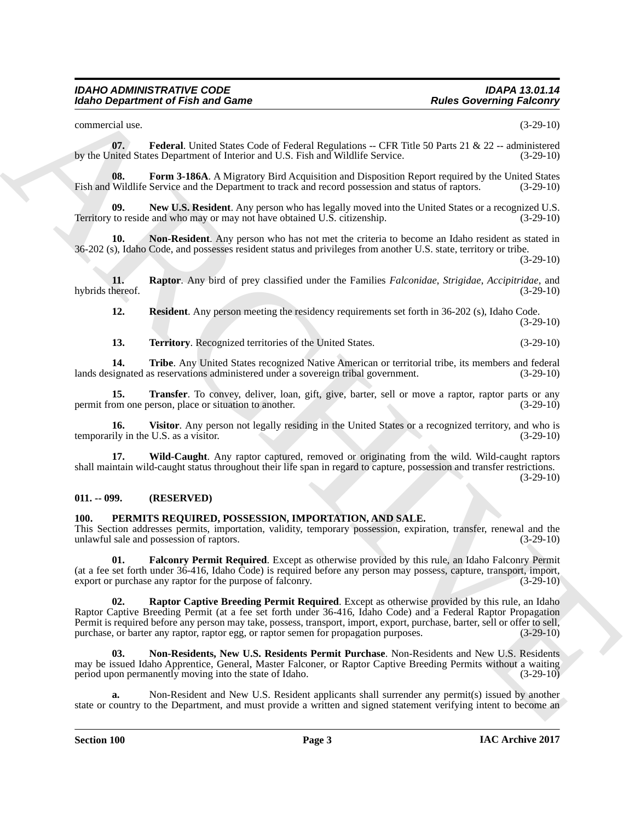#### *IDAHO ADMINISTRATIVE CODE IDAPA 13.01.14 Idaho Department of Fish and Game*

<span id="page-2-2"></span>commercial use. (3-29-10)

**07. Federal**. United States Code of Federal Regulations -- CFR Title 50 Parts 21 & 22 -- administered by the United States Department of Interior and U.S. Fish and Wildlife Service. (3-29-10)

<span id="page-2-3"></span>**08. Form 3-186A**. A Migratory Bird Acquisition and Disposition Report required by the United States Wildlife Service and the Department to track and record possession and status of raptors. (3-29-10) Fish and Wildlife Service and the Department to track and record possession and status of raptors.

<span id="page-2-4"></span>**New U.S. Resident**. Any person who has legally moved into the United States or a recognized U.S. Territory to reside and who may or may not have obtained U.S. citizenship. (3-29-10)

<span id="page-2-5"></span>**10. Non-Resident**. Any person who has not met the criteria to become an Idaho resident as stated in 36-202 (s), Idaho Code, and possesses resident status and privileges from another U.S. state, territory or tribe.

(3-29-10)

**11. Raptor**. Any bird of prey classified under the Families *Falconidae*, *Strigidae*, *Accipitridae*, and hybrids thereof.

<span id="page-2-7"></span><span id="page-2-6"></span>**12. Resident**. Any person meeting the residency requirements set forth in 36-202 (s), Idaho Code. (3-29-10)

<span id="page-2-10"></span><span id="page-2-9"></span><span id="page-2-8"></span>**13. Territory**. Recognized territories of the United States. (3-29-10)

14. **Tribe**. Any United States recognized Native American or territorial tribe, its members and federal lands designated as reservations administered under a sovereign tribal government. (3-29-10)

**15. Transfer**. To convey, deliver, loan, gift, give, barter, sell or move a raptor, raptor parts or any om one person, place or situation to another. (3-29-10) permit from one person, place or situation to another.

<span id="page-2-11"></span>**16.** Visitor. Any person not legally residing in the United States or a recognized territory, and who is ily in the U.S. as a visitor. (3-29-10) temporarily in the U.S. as a visitor.

<span id="page-2-12"></span>**17. Wild-Caught**. Any raptor captured, removed or originating from the wild. Wild-caught raptors shall maintain wild-caught status throughout their life span in regard to capture, possession and transfer restrictions. (3-29-10)

#### <span id="page-2-0"></span>**011. -- 099. (RESERVED)**

#### <span id="page-2-13"></span><span id="page-2-1"></span>**100. PERMITS REQUIRED, POSSESSION, IMPORTATION, AND SALE.**

This Section addresses permits, importation, validity, temporary possession, expiration, transfer, renewal and the unlawful sale and possession of raptors. (3-29-10)

<span id="page-2-16"></span><span id="page-2-14"></span>**01. Falconry Permit Required**. Except as otherwise provided by this rule, an Idaho Falconry Permit (at a fee set forth under  $36-416$ , Idaho  $\text{Code}$ ) is required before any person may possess, capture, transport, import, export or purchase any raptor for the purpose of falcomry. (3-29-10) export or purchase any raptor for the purpose of falconry.

Factor Contentrior of Fish and Game<br>
Contentrior of Fish and Game<br>
Contentrior of Fish and Game<br>
Spin-Repubblic Section (Factor Contentrior of Fish and Game<br>
Spin-Repubblic Section 11 and Contentrior of Fish and Game<br>
Spi **02. Raptor Captive Breeding Permit Required**. Except as otherwise provided by this rule, an Idaho Raptor Captive Breeding Permit (at a fee set forth under 36-416, Idaho Code) and a Federal Raptor Propagation Permit is required before any person may take, possess, transport, import, export, purchase, barter, sell or offer to sell, purchase, or barter any raptor, raptor egg, or raptor semen for propagation purposes. (3-29-10) purchase, or barter any raptor, raptor egg, or raptor semen for propagation purposes.

<span id="page-2-15"></span>**03. Non-Residents, New U.S. Residents Permit Purchase**. Non-Residents and New U.S. Residents may be issued Idaho Apprentice, General, Master Falconer, or Raptor Captive Breeding Permits without a waiting period upon permanently moving into the state of Idaho. (3-29-10)

**a.** Non-Resident and New U.S. Resident applicants shall surrender any permit(s) issued by another state or country to the Department, and must provide a written and signed statement verifying intent to become an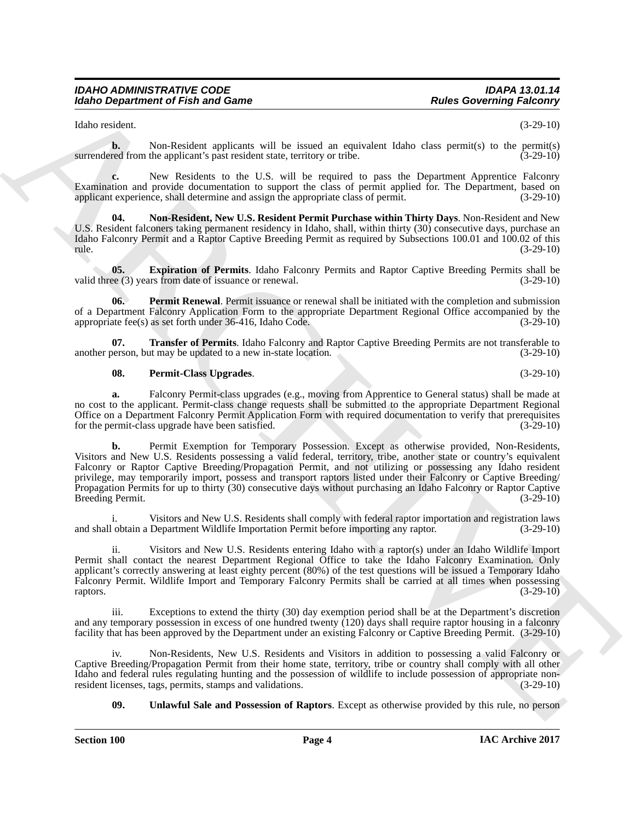#### *IDAHO ADMINISTRATIVE CODE IDAPA 13.01.14 Idaho Department of Fish and Game*

Idaho resident. (3-29-10)

**b.** Non-Resident applicants will be issued an equivalent Idaho class permit(s) to the permit(s) red from the applicant's past resident state, territory or tribe.  $(3-29-10)$ surrendered from the applicant's past resident state, territory or tribe.

**c.** New Residents to the U.S. will be required to pass the Department Apprentice Falconry Examination and provide documentation to support the class of permit applied for. The Department, based on applicant experience, shall determine and assign the appropriate class of permit. (3-29-10)

<span id="page-3-1"></span>**04. Non-Resident, New U.S. Resident Permit Purchase within Thirty Days**. Non-Resident and New U.S. Resident falconers taking permanent residency in Idaho, shall, within thirty (30) consecutive days, purchase an Idaho Falconry Permit and a Raptor Captive Breeding Permit as required by Subsections 100.01 and 100.02 of this rule. (3-29-10)

<span id="page-3-0"></span>**05. Expiration of Permits**. Idaho Falconry Permits and Raptor Captive Breeding Permits shall be ee (3) years from date of issuance or renewal. (3-29-10) valid three  $(3)$  years from date of issuance or renewal.

<span id="page-3-2"></span>**Permit Renewal**. Permit issuance or renewal shall be initiated with the completion and submission of a Department Falconry Application Form to the appropriate Department Regional Office accompanied by the appropriate fee(s) as set forth under 36-416. Idaho Code. (3-29-10) appropriate fee $(s)$  as set forth under 36-416, Idaho Code.

**07. Transfer of Permits**. Idaho Falconry and Raptor Captive Breeding Permits are not transferable to a new in-state location. (3-29-10) another person, but may be updated to a new in-state location.

#### <span id="page-3-4"></span><span id="page-3-3"></span>**08. Permit-Class Upgrades**. (3-29-10)

**a.** Falconry Permit-class upgrades (e.g., moving from Apprentice to General status) shall be made at no cost to the applicant. Permit-class change requests shall be submitted to the appropriate Department Regional Office on a Department Falconry Permit Application Form with required documentation to verify that prerequisites for the permit-class upgrade have been satisfied. (3-29-10) for the permit-class upgrade have been satisfied.

Robert Generation of Fish and Game<br>
Notice Convening Poissons (1988)<br>
Notice consider a poisson of the base of any experiment time of a generation (1988)<br>
The mass are set of the poisson of the base of the control of the **b.** Permit Exemption for Temporary Possession. Except as otherwise provided, Non-Residents, Visitors and New U.S. Residents possessing a valid federal, territory, tribe, another state or country's equivalent Falconry or Raptor Captive Breeding/Propagation Permit, and not utilizing or possessing any Idaho resident privilege, may temporarily import, possess and transport raptors listed under their Falconry or Captive Breeding/ Propagation Permits for up to thirty (30) consecutive days without purchasing an Idaho Falconry or Raptor Captive Breeding Permit.

Visitors and New U.S. Residents shall comply with federal raptor importation and registration laws<br>Department Wildlife Importation Permit before importing any raptor. (3-29-10) and shall obtain a Department Wildlife Importation Permit before importing any raptor.

ii. Visitors and New U.S. Residents entering Idaho with a raptor(s) under an Idaho Wildlife Import Permit shall contact the nearest Department Regional Office to take the Idaho Falconry Examination. Only applicant's correctly answering at least eighty percent (80%) of the test questions will be issued a Temporary Idaho Falconry Permit. Wildlife Import and Temporary Falconry Permits shall be carried at all times when possessing raptors. (3-29-10) raptors. (3-29-10)

Exceptions to extend the thirty (30) day exemption period shall be at the Department's discretion and any temporary possession in excess of one hundred twenty (120) days shall require raptor housing in a falconry facility that has been approved by the Department under an existing Falconry or Captive Breeding Permit. (3-29-10)

Non-Residents, New U.S. Residents and Visitors in addition to possessing a valid Falconry or Captive Breeding/Propagation Permit from their home state, territory, tribe or country shall comply with all other Idaho and federal rules regulating hunting and the possession of wildlife to include possession of appropriate non-<br>resident licenses, tags, permits, stamps and validations. (3-29-10) resident licenses, tags, permits, stamps and validations.

<span id="page-3-5"></span>**09. Unlawful Sale and Possession of Raptors**. Except as otherwise provided by this rule, no person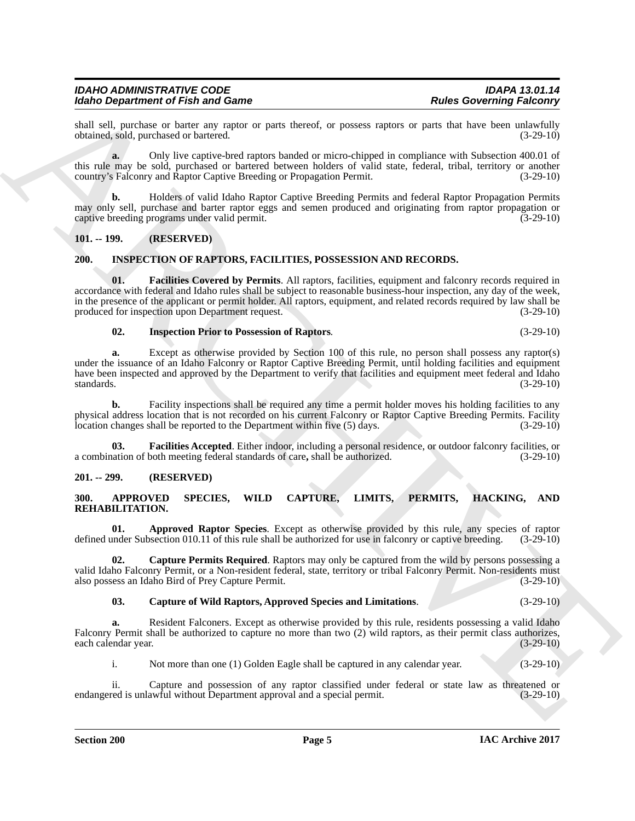#### *IDAHO ADMINISTRATIVE CODE IDAPA 13.01.14 Idaho Department of Fish and Game*

shall sell, purchase or barter any raptor or parts thereof, or possess raptors or parts that have been unlawfully obtained, sold, purchased or bartered. (3-29-10) obtained, sold, purchased or bartered.

**a.** Only live captive-bred raptors banded or micro-chipped in compliance with Subsection 400.01 of this rule may be sold, purchased or bartered between holders of valid state, federal, tribal, territory or another country's Falconry and Raptor Captive Breeding or Propagation Permit. (3-29-10) country's Falconry and Raptor Captive Breeding or Propagation Permit.

**b.** Holders of valid Idaho Raptor Captive Breeding Permits and federal Raptor Propagation Permits may only sell, purchase and barter raptor eggs and semen produced and originating from raptor propagation or captive breeding programs under valid permit. (3-29-10)

#### <span id="page-4-0"></span>**101. -- 199. (RESERVED)**

#### <span id="page-4-8"></span><span id="page-4-1"></span>**200. INSPECTION OF RAPTORS, FACILITIES, POSSESSION AND RECORDS.**

For Orientation's Findand Control and Control and Control and Control and Control and Control and Control and Control and Control and Control and Control and Control and Control and Control and Control and Control and Con **01. Facilities Covered by Permits**. All raptors, facilities, equipment and falconry records required in accordance with federal and Idaho rules shall be subject to reasonable business-hour inspection, any day of the week, in the presence of the applicant or permit holder. All raptors, equipment, and related records required by law shall be produced for inspection upon Department request. (3-29-10)

#### <span id="page-4-11"></span><span id="page-4-10"></span>**02. Inspection Prior to Possession of Raptors***.* (3-29-10)

**a.** Except as otherwise provided by Section 100 of this rule, no person shall possess any raptor(s) under the issuance of an Idaho Falconry or Raptor Captive Breeding Permit, until holding facilities and equipment have been inspected and approved by the Department to verify that facilities and equipment meet federal and Idaho standards. (3-29-10) standards. (3-29-10)

**b.** Facility inspections shall be required any time a permit holder moves his holding facilities to any physical address location that is not recorded on his current Falconry or Raptor Captive Breeding Permits. Facility location changes shall be reported to the Department within five (5) days. (3-29-10) location changes shall be reported to the Department within five (5) days.

<span id="page-4-9"></span>**03. Facilities Accepted**. Either indoor, including a personal residence, or outdoor falconry facilities, or ation of both meeting federal standards of care, shall be authorized.  $(3-29-10)$ a combination of both meeting federal standards of care, shall be authorized.

#### <span id="page-4-2"></span>**201. -- 299. (RESERVED)**

#### <span id="page-4-4"></span><span id="page-4-3"></span>**300. APPROVED SPECIES, WILD CAPTURE, LIMITS, PERMITS, HACKING, AND REHABILITATION.**

<span id="page-4-5"></span>**01. Approved Raptor Species**. Except as otherwise provided by this rule, any species of raptor under Subsection 010.11 of this rule shall be authorized for use in falconry or captive breeding. (3-29-10) defined under Subsection 010.11 of this rule shall be authorized for use in falconry or captive breeding.

**02. Capture Permits Required**. Raptors may only be captured from the wild by persons possessing a valid Idaho Falconry Permit, or a Non-resident federal, state, territory or tribal Falconry Permit. Non-residents must also possess an Idaho Bird of Prey Capture Permit. also possess an Idaho Bird of Prey Capture Permit.

#### <span id="page-4-7"></span><span id="page-4-6"></span>**03. Capture of Wild Raptors, Approved Species and Limitations**. (3-29-10)

**a.** Resident Falconers. Except as otherwise provided by this rule, residents possessing a valid Idaho Falconry Permit shall be authorized to capture no more than two (2) wild raptors, as their permit class authorizes, each calendar year. (3-29-10) each calendar year.

i. Not more than one (1) Golden Eagle shall be captured in any calendar year. (3-29-10)

ii. Capture and possession of any raptor classified under federal or state law as threatened or red is unlawful without Department approval and a special permit. (3-29-10) endangered is unlawful without Department approval and a special permit.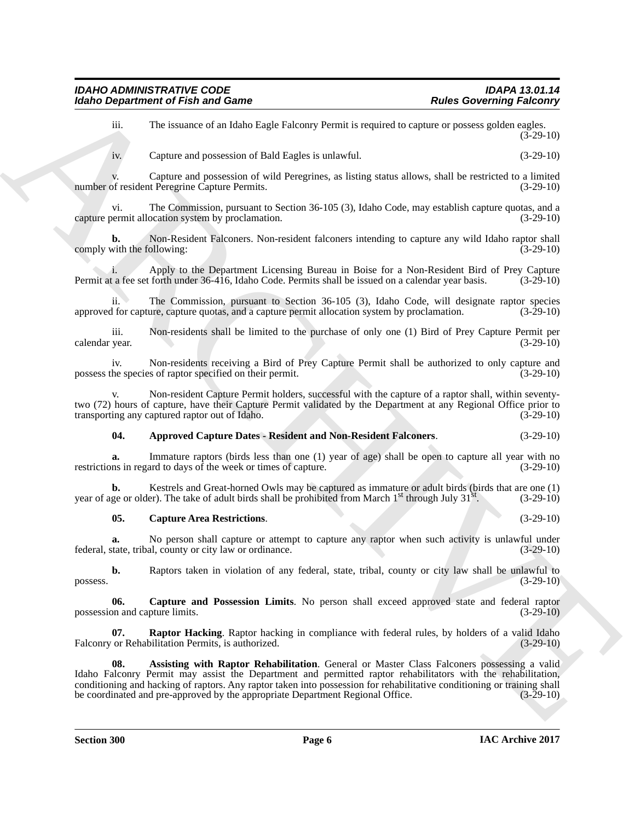iii. The issuance of an Idaho Eagle Falconry Permit is required to capture or possess golden eagles.  $(3 - 29 - 10)$ 

iv. Capture and possession of Bald Eagles is unlawful. (3-29-10)

v. Capture and possession of wild Peregrines, as listing status allows, shall be restricted to a limited of resident Peregrine Capture Permits. (3-29-10) number of resident Peregrine Capture Permits.

vi. The Commission, pursuant to Section 36-105 (3), Idaho Code, may establish capture quotas, and a capture permit allocation system by proclamation. (3-29-10)

**b.** Non-Resident Falconers. Non-resident falconers intending to capture any wild Idaho raptor shall with the following: (3-29-10) comply with the following:

i. Apply to the Department Licensing Bureau in Boise for a Non-Resident Bird of Prey Capture a fee set forth under 36-416, Idaho Code. Permits shall be issued on a calendar year basis. (3-29-10) Permit at a fee set forth under 36-416, Idaho Code. Permits shall be issued on a calendar year basis.

ii. The Commission, pursuant to Section 36-105 (3), Idaho Code, will designate raptor species approved for capture, capture quotas, and a capture permit allocation system by proclamation. (3-29-10)

iii. Non-residents shall be limited to the purchase of only one (1) Bird of Prey Capture Permit per calendar year.

iv. Non-residents receiving a Bird of Prey Capture Permit shall be authorized to only capture and possess the species of raptor specified on their permit. (3-29-10)

v. Non-resident Capture Permit holders, successful with the capture of a raptor shall, within seventytwo (72) hours of capture, have their Capture Permit validated by the Department at any Regional Office prior to transporting any captured raptor out of Idaho. (3-29-10)

<span id="page-5-0"></span>**04. Approved Capture Dates - Resident and Non-Resident Falconers**. (3-29-10)

**a.** Immature raptors (birds less than one (1) year of age) shall be open to capture all year with no restrictions in regard to days of the week or times of capture. (3-29-10)

**b.** Kestrels and Great-horned Owls may be captured as immature or adult birds (birds that are one (1) year of age or older). The take of adult birds shall be prohibited from March  $1<sup>st</sup>$  through July 31 $<sup>st</sup>$ . (3-29-10)</sup>

<span id="page-5-3"></span>**05. Capture Area Restrictions**. (3-29-10)

**a.** No person shall capture or attempt to capture any raptor when such activity is unlawful under federal, state, tribal, county or city law or ordinance. (3-29-10)

**b.** Raptors taken in violation of any federal, state, tribal, county or city law shall be unlawful to  $(3-29-10)$  $p$ ossess.  $(3-29-10)$ 

<span id="page-5-2"></span>**06. Capture and Possession Limits**. No person shall exceed approved state and federal raptor possession and capture limits. (3-29-10)

<span id="page-5-4"></span><span id="page-5-1"></span>**07. Raptor Hacking**. Raptor hacking in compliance with federal rules, by holders of a valid Idaho or Rehabilitation Permits, is authorized. (3-29-10) Falconry or Rehabilitation Permits, is authorized.

Robert Geographics of Fish and Game<br>
The Coverenting Factors'<br>
ii. Capture and Molecular Alexander and Bull Eugenis value of conjunct an posso residual  $(3-26)$  to<br>
ii. Capture and another the stability of the state of th **08. Assisting with Raptor Rehabilitation**. General or Master Class Falconers possessing a valid Idaho Falconry Permit may assist the Department and permitted raptor rehabilitators with the rehabilitation, conditioning and hacking of raptors. Any raptor taken into possession for rehabilitative conditioning or training shall<br>be coordinated and pre-approved by the appropriate Department Regional Office. (3-29-10) be coordinated and pre-approved by the appropriate Department Regional Office.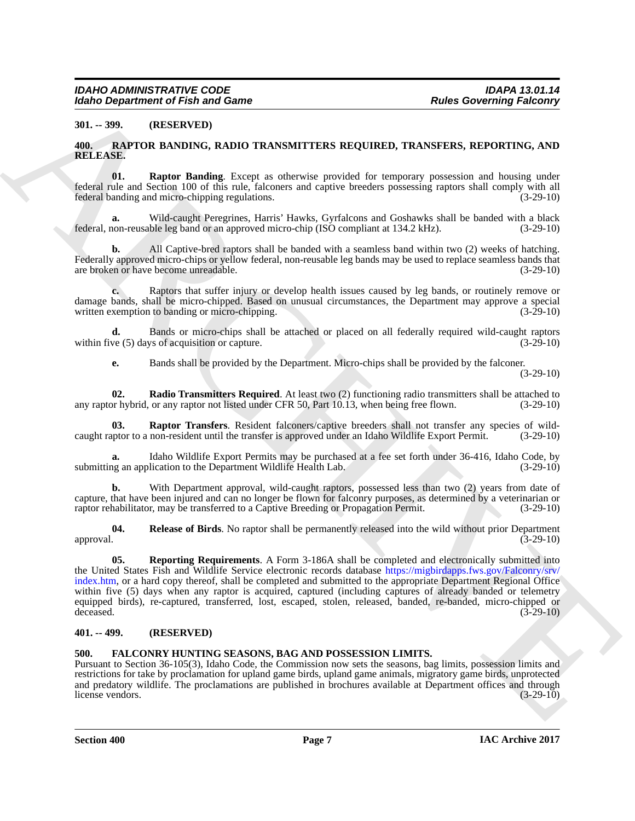#### <span id="page-6-0"></span>**301. -- 399. (RESERVED)**

#### <span id="page-6-5"></span><span id="page-6-1"></span>**400. RAPTOR BANDING, RADIO TRANSMITTERS REQUIRED, TRANSFERS, REPORTING, AND RELEASE.**

<span id="page-6-7"></span>**01. Raptor Banding**. Except as otherwise provided for temporary possession and housing under federal rule and Section 100 of this rule, falconers and captive breeders possessing raptors shall comply with all federal banding and micro-chipping regulations. (3-29-10)

**a.** Wild-caught Peregrines, Harris' Hawks, Gyrfalcons and Goshawks shall be banded with a black federal, non-reusable leg band or an approved micro-chip (ISO compliant at 134.2 kHz). (3-29-10)

**b.** All Captive-bred raptors shall be banded with a seamless band within two (2) weeks of hatching. Federally approved micro-chips or yellow federal, non-reusable leg bands may be used to replace seamless bands that are broken or have become unreadable. (3-29-10)

**c.** Raptors that suffer injury or develop health issues caused by leg bands, or routinely remove or damage bands, shall be micro-chipped. Based on unusual circumstances, the Department may approve a special written exemption to banding or micro-chipping. (3-29-10) written exemption to banding or micro-chipping.

**d.** Bands or micro-chips shall be attached or placed on all federally required wild-caught raptors ve (5) days of acquisition or capture. within five  $(5)$  days of acquisition or capture.

<span id="page-6-8"></span><span id="page-6-6"></span>**e.** Bands shall be provided by the Department. Micro-chips shall be provided by the falconer.

(3-29-10)

**02.** Radio Transmitters Required. At least two (2) functioning radio transmitters shall be attached to or hybrid, or any raptor not listed under CFR 50, Part 10.13, when being free flown. (3-29-10) any raptor hybrid, or any raptor not listed under CFR 50, Part 10.13, when being free flown.

**03. Raptor Transfers**. Resident falconers/captive breeders shall not transfer any species of wild-<br>uptor to a non-resident until the transfer is approved under an Idaho Wildlife Export Permit. (3-29-10) caught raptor to a non-resident until the transfer is approved under an Idaho Wildlife Export Permit.

Idaho Wildlife Export Permits may be purchased at a fee set forth under 36-416, Idaho Code, by lication to the Department Wildlife Health Lab. (3-29-10) submitting an application to the Department Wildlife Health Lab.

**b.** With Department approval, wild-caught raptors, possessed less than two (2) years from date of capture, that have been injured and can no longer be flown for falconry purposes, as determined by a veterinarian or raptor rehabilitator, may be transferred to a Captive Breeding or Propagation Permit. (3-29-10)

<span id="page-6-10"></span><span id="page-6-9"></span>**04.** Release of Birds. No raptor shall be permanently released into the wild without prior Department (3-29-10) (3-29-10) approval. (3-29-10)

From Department of Frah and Game<br>
311. Parker Governing Faitneys<br>
311. 2399. INSERT UNIX (NATIO TRANSVITTERS REQUIRED, TRANS[VE](https://migbirdapps.fws.gov/Falconry/srv/index.htm)RS, REPORTING, AND<br>
31. 249. IN THE INSERT IS NOT TRANSVERTED AS REQUIRED, TRANSVERSE REPORTING **05. Reporting Requirements**. A Form 3-186A shall be completed and electronically submitted into the United States Fish and Wildlife Service electronic records database https://migbirdapps.fws.gov/Falconry/srv/ index.htm, or a hard copy thereof, shall be completed and submitted to the appropriate Department Regional Office within five (5) days when any raptor is acquired, captured (including captures of already banded or telemetry equipped birds), re-captured, transferred, lost, escaped, stolen, released, banded, re-banded, micro-chipped or deceased.  $(3-29-10)$ 

#### <span id="page-6-2"></span>**401. -- 499. (RESERVED)**

#### <span id="page-6-4"></span><span id="page-6-3"></span>**500. FALCONRY HUNTING SEASONS, BAG AND POSSESSION LIMITS.**

Pursuant to Section 36-105(3), Idaho Code, the Commission now sets the seasons, bag limits, possession limits and restrictions for take by proclamation for upland game birds, upland game animals, migratory game birds, unprotected and predatory wildlife. The proclamations are published in brochures available at Department offices and through license vendors. (3-29-10) license vendors.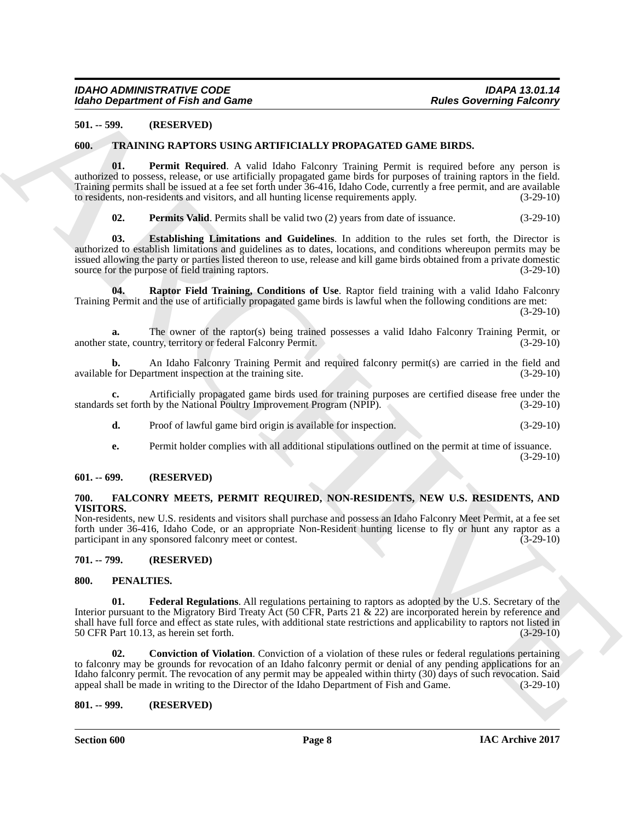#### <span id="page-7-0"></span>**501. -- 599. (RESERVED)**

#### <span id="page-7-11"></span><span id="page-7-1"></span>**600. TRAINING RAPTORS USING ARTIFICIALLY PROPAGATED GAME BIRDS.**

**01. Permit Required**. A valid Idaho Falconry Training Permit is required before any person is authorized to possess, release, or use artificially propagated game birds for purposes of training raptors in the field. Training permits shall be issued at a fee set forth under 36-416, Idaho Code, currently a free permit, and are available to residents, non-residents and visitors, and all hunting license requirements apply. (3-29-10)

<span id="page-7-15"></span><span id="page-7-14"></span><span id="page-7-13"></span><span id="page-7-12"></span>**02. Permits Valid**. Permits shall be valid two (2) years from date of issuance. (3-29-10)

**03. Establishing Limitations and Guidelines**. In addition to the rules set forth, the Director is authorized to establish limitations and guidelines as to dates, locations, and conditions whereupon permits may be issued allowing the party or parties listed thereon to use, release and kill game birds obtained from a private domestic source for the purpose of field training raptors. (3-29-10)

**04. Raptor Field Training, Conditions of Use**. Raptor field training with a valid Idaho Falconry Training Permit and the use of artificially propagated game birds is lawful when the following conditions are met:

 $(3-29-10)$ 

**a.** The owner of the raptor(s) being trained possesses a valid Idaho Falconry Training Permit, or tate, country, territory or federal Falconry Permit. (3-29-10) another state, country, territory or federal Falconry Permit.

**b.** An Idaho Falconry Training Permit and required falconry permit(s) are carried in the field and for Department inspection at the training site.  $(3-29-10)$ available for Department inspection at the training site.

**c.** Artificially propagated game birds used for training purposes are certified disease free under the set forth by the National Poultry Improvement Program (NPIP). (3-29-10) standards set forth by the National Poultry Improvement Program (NPIP).

- **d.** Proof of lawful game bird origin is available for inspection. (3-29-10)
- **e.** Permit holder complies with all additional stipulations outlined on the permit at time of issuance. (3-29-10)

#### <span id="page-7-2"></span>**601. -- 699. (RESERVED)**

#### <span id="page-7-7"></span><span id="page-7-3"></span>**700. FALCONRY MEETS, PERMIT REQUIRED, NON-RESIDENTS, NEW U.S. RESIDENTS, AND VISITORS.**

Non-residents, new U.S. residents and visitors shall purchase and possess an Idaho Falconry Meet Permit, at a fee set forth under 36-416, Idaho Code, or an appropriate Non-Resident hunting license to fly or hunt any raptor as a participant in any sponsored falconry meet or contest.  $(3-29-10)$ 

#### <span id="page-7-4"></span>**701. -- 799. (RESERVED)**

#### <span id="page-7-8"></span><span id="page-7-5"></span>**800. PENALTIES.**

<span id="page-7-10"></span><span id="page-7-9"></span>**01. Federal Regulations**. All regulations pertaining to raptors as adopted by the U.S. Secretary of the Interior pursuant to the Migratory Bird Treaty Act (50 CFR, Parts 21 & 22) are incorporated herein by reference and shall have full force and effect as state rules, with additional state restrictions and applicability to raptors not listed in 50 CFR Part 10.13, as herein set forth. (3-29-10) 50 CFR Part 10.13, as herein set forth.

Factor Constraints of Fish and Game<br>
2011 Factor State ACTIVICALIAY PROPAGATION CAN INTERNATIONAL TRIP (AMERICAN CONSTRUENT)<br>
2011 THE STATE IN THE STATE ACTIVICATES PRODUCT TO CONSTRUE (THE SPECIES OF THE STATE OF THE ST **02. Conviction of Violation**. Conviction of a violation of these rules or federal regulations pertaining to falconry may be grounds for revocation of an Idaho falconry permit or denial of any pending applications for an Idaho falconry permit. The revocation of any permit may be appealed within thirty (30) days of such revocation. Said appeal shall be made in writing to the Director of the Idaho Department of Fish and Game. (3-29-10) appeal shall be made in writing to the Director of the Idaho Department of Fish and Game.

#### <span id="page-7-6"></span>**801. -- 999. (RESERVED)**